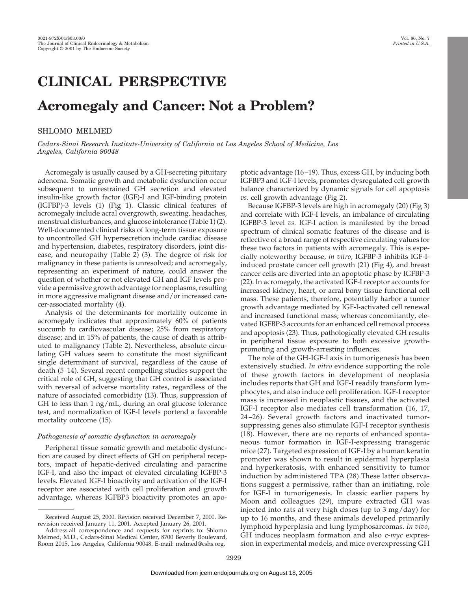# **CLINICAL PERSPECTIVE Acromegaly and Cancer: Not a Problem?**

# SHLOMO MELMED

*Cedars-Sinai Research Institute-University of California at Los Angeles School of Medicine, Los Angeles, California 90048*

Acromegaly is usually caused by a GH-secreting pituitary adenoma. Somatic growth and metabolic dysfunction occur subsequent to unrestrained GH secretion and elevated insulin-like growth factor (IGF)-I and IGF-binding protein (IGFBP)-3 levels (1) (Fig 1). Classic clinical features of acromegaly include acral overgrowth, sweating, headaches, menstrual disturbances, and glucose intolerance (Table 1) (2). Well-documented clinical risks of long-term tissue exposure to uncontrolled GH hypersecretion include cardiac disease and hypertension, diabetes, respiratory disorders, joint disease, and neuropathy (Table 2) (3). The degree of risk for malignancy in these patients is unresolved; and acromegaly, representing an experiment of nature, could answer the question of whether or not elevated GH and IGF levels provide a permissive growth advantage for neoplasms, resulting in more aggressive malignant disease and/or increased cancer-associated mortality (4).

Analysis of the determinants for mortality outcome in acromegaly indicates that approximately 60% of patients succumb to cardiovascular disease; 25% from respiratory disease; and in 15% of patients, the cause of death is attributed to malignancy (Table 2). Nevertheless, absolute circulating GH values seem to constitute the most significant single determinant of survival, regardless of the cause of death (5–14). Several recent compelling studies support the critical role of GH, suggesting that GH control is associated with reversal of adverse mortality rates, regardless of the nature of associated comorbidity (13). Thus, suppression of GH to less than 1 ng/mL, during an oral glucose tolerance test, and normalization of IGF-I levels portend a favorable mortality outcome (15).

## *Pathogenesis of somatic dysfunction in acromegaly*

Peripheral tissue somatic growth and metabolic dysfunction are caused by direct effects of GH on peripheral receptors, impact of hepatic-derived circulating and paracrine IGF-I, and also the impact of elevated circulating IGFBP-3 levels. Elevated IGF-I bioactivity and activation of the IGF-I receptor are associated with cell proliferation and growth advantage, whereas IGFBP3 bioactivity promotes an apoptotic advantage (16–19). Thus, excess GH, by inducing both IGFBP3 and IGF-I levels, promotes dysregulated cell growth balance characterized by dynamic signals for cell apoptosis *vs.* cell growth advantage (Fig 2).

Because IGFBP-3 levels are high in acromegaly (20) (Fig 3) and correlate with IGF-I levels, an imbalance of circulating IGFBP-3 level *vs.* IGF-I action is manifested by the broad spectrum of clinical somatic features of the disease and is reflective of a broad range of respective circulating values for these two factors in patients with acromegaly. This is especially noteworthy because, *in vitro*, IGFBP-3 inhibits IGF-Iinduced prostate cancer cell growth (21) (Fig 4), and breast cancer cells are diverted into an apoptotic phase by IGFBP-3 (22). In acromegaly, the activated IGF-I receptor accounts for increased kidney, heart, or acral bony tissue functional cell mass. These patients, therefore, potentially harbor a tumor growth advantage mediated by IGF-I-activated cell renewal and increased functional mass; whereas concomitantly, elevated IGFBP-3 accounts for an enhanced cell removal process and apoptosis (23). Thus, pathologically elevated GH results in peripheral tissue exposure to both excessive growthpromoting and growth-arresting influences.

The role of the GH-IGF-I axis in tumorigenesis has been extensively studied. *In vitro* evidence supporting the role of these growth factors in development of neoplasia includes reports that GH and IGF-I readily transform lymphocytes, and also induce cell proliferation. IGF-I receptor mass is increased in neoplastic tissues, and the activated IGF-I receptor also mediates cell transformation (16, 17, 24–26). Several growth factors and inactivated tumorsuppressing genes also stimulate IGF-I receptor synthesis (18). However, there are no reports of enhanced spontaneous tumor formation in IGF-I-expressing transgenic mice (27). Targeted expression of IGF-I by a human keratin promoter was shown to result in epidermal hyperplasia and hyperkeratosis, with enhanced sensitivity to tumor induction by administered TPA (28).These latter observations suggest a permissive, rather than an initiating, role for IGF-I in tumorigenesis. In classic earlier papers by Moon and colleagues (29), impure extracted GH was injected into rats at very high doses (up to 3 mg/day) for up to 16 months, and these animals developed primarily lymphoid hyperplasia and lung lymphosarcomas. *In vivo*, GH induces neoplasm formation and also c-*myc* expression in experimental models, and mice overexpressing GH

Received August 25, 2000. Revision received December 7, 2000. Rerevision received January 11, 2001. Accepted January 26, 2001.

Address all correspondence and requests for reprints to: Shlomo Melmed, M.D., Cedars-Sinai Medical Center, 8700 Beverly Boulevard, Room 2015, Los Angeles, California 90048. E-mail: melmed@cshs.org.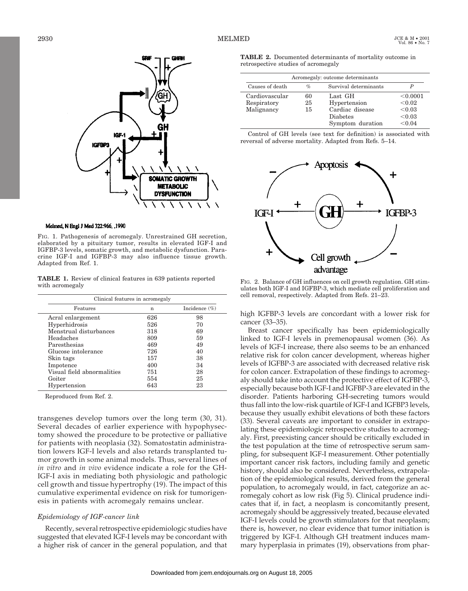

#### Melmed, N Engl J Med 322:966, ,1990

FIG. 1. Pathogenesis of acromegaly. Unrestrained GH secretion, elaborated by a pituitary tumor, results in elevated IGF-I and IGFBP-3 levels, somatic growth, and metabolic dysfunction. Paracrine IGF-I and IGFBP-3 may also influence tissue growth. Adapted from Ref. 1.

**TABLE 1.** Review of clinical features in 639 patients reported with acromegaly

| Clinical features in acromegaly |     |                  |  |  |  |
|---------------------------------|-----|------------------|--|--|--|
| Features                        | n   | Incidence $(\%)$ |  |  |  |
| Acral enlargement               | 626 | 98               |  |  |  |
| Hyperhidrosis                   | 526 | 70               |  |  |  |
| Menstrual disturbances          | 318 | 69               |  |  |  |
| Headaches                       | 809 | 59               |  |  |  |
| Paresthesias                    | 469 | 49               |  |  |  |
| Glucose intolerance             | 726 | 40               |  |  |  |
| Skin tags                       | 157 | 38               |  |  |  |
| Impotence                       | 400 | 34               |  |  |  |
| Visual field abnormalities      | 751 | 28               |  |  |  |
| Goiter                          | 554 | 25               |  |  |  |
| Hypertension                    | 643 | 23               |  |  |  |

Reproduced from Ref. 2.

transgenes develop tumors over the long term (30, 31). Several decades of earlier experience with hypophysectomy showed the procedure to be protective or palliative for patients with neoplasia (32). Somatostatin administration lowers IGF-I levels and also retards transplanted tumor growth in some animal models. Thus, several lines of *in vitro* and *in vivo* evidence indicate a role for the GH-IGF-I axis in mediating both physiologic and pathologic cell growth and tissue hypertrophy (19). The impact of this cumulative experimental evidence on risk for tumorigenesis in patients with acromegaly remains unclear.

## *Epidemiology of IGF-cancer link*

Recently, several retrospective epidemiologic studies have suggested that elevated IGF-I levels may be concordant with a higher risk of cancer in the general population, and that

**TABLE 2.** Documented determinants of mortality outcome in retrospective studies of acromegaly

| Acromegaly: outcome determinants |      |                       |          |  |
|----------------------------------|------|-----------------------|----------|--|
| Causes of death                  | $\%$ | Survival determinants |          |  |
| Cardiovascular                   | 60   | Last GH               | < 0.0001 |  |
| Respiratory                      | 25   | Hypertension          | < 0.02   |  |
| Malignancy                       | 15   | Cardiac disease       | < 0.03   |  |
|                                  |      | <b>Diabetes</b>       | < 0.03   |  |
|                                  |      | Symptom duration      | < 0.04   |  |

Control of GH levels (see text for definition) is associated with reversal of adverse mortality. Adapted from Refs. 5–14.



FIG. 2. Balance of GH influences on cell growth regulation. GH stimulates both IGF-I and IGFBP-3, which mediate cell proliferation and cell removal, respectively. Adapted from Refs. 21–23.

high IGFBP-3 levels are concordant with a lower risk for cancer (33–35).

Breast cancer specifically has been epidemiologically linked to IGF-I levels in premenopausal women (36). As levels of IGF-I increase, there also seems to be an enhanced relative risk for colon cancer development, whereas higher levels of IGFBP-3 are associated with decreased relative risk for colon cancer. Extrapolation of these findings to acromegaly should take into account the protective effect of IGFBP-3, especially because both IGF-I and IGFBP-3 are elevated in the disorder. Patients harboring GH-secreting tumors would thus fall into the low-risk quartile of IGF-I and IGFBP3 levels, because they usually exhibit elevations of both these factors (33). Several caveats are important to consider in extrapolating these epidemiologic retrospective studies to acromegaly. First, preexisting cancer should be critically excluded in the test population at the time of retrospective serum sampling, for subsequent IGF-I measurement. Other potentially important cancer risk factors, including family and genetic history, should also be considered. Nevertheless, extrapolation of the epidemiological results, derived from the general population, to acromegaly would, in fact, categorize an acromegaly cohort as low risk (Fig 5). Clinical prudence indicates that if, in fact, a neoplasm is concomitantly present, acromegaly should be aggressively treated, because elevated IGF-I levels could be growth stimulators for that neoplasm; there is, however, no clear evidence that tumor initiation is triggered by IGF-I. Although GH treatment induces mammary hyperplasia in primates (19), observations from phar-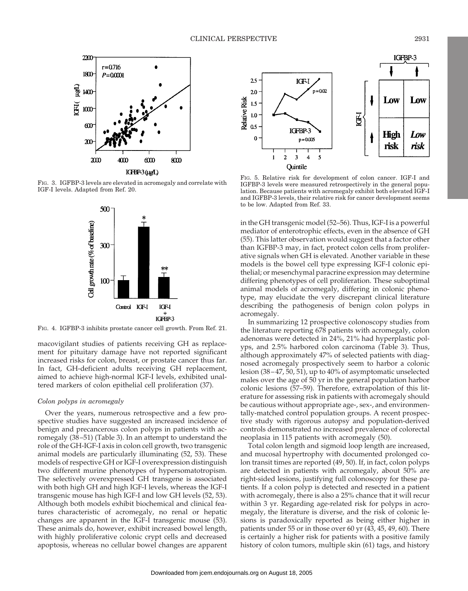

FIG. 3. IGFBP-3 levels are elevated in acromegaly and correlate with IGF-I levels. Adapted from Ref. 20.



FIG. 4. IGFBP-3 inhibits prostate cancer cell growth. From Ref. 21.

macovigilant studies of patients receiving GH as replacement for pituitary damage have not reported significant increased risks for colon, breast, or prostate cancer thus far. In fact, GH-deficient adults receiving GH replacement, aimed to achieve high-normal IGF-I levels, exhibited unaltered markers of colon epithelial cell proliferation (37).

### *Colon polyps in acromegaly*

Over the years, numerous retrospective and a few prospective studies have suggested an increased incidence of benign and precancerous colon polyps in patients with acromegaly (38–51) (Table 3). In an attempt to understand the role of the GH-IGF-I axis in colon cell growth, two transgenic animal models are particularly illuminating (52, 53). These models of respective GH or IGF-I overexpression distinguish two different murine phenotypes of hypersomatotropism. The selectively overexpressed GH transgene is associated with both high GH and high IGF-I levels, whereas the IGF-I transgenic mouse has high IGF-I and low GH levels (52, 53). Although both models exhibit biochemical and clinical features characteristic of acromegaly, no renal or hepatic changes are apparent in the IGF-I transgenic mouse (53). These animals do, however, exhibit increased bowel length, with highly proliferative colonic crypt cells and decreased apoptosis, whereas no cellular bowel changes are apparent



FIG. 5. Relative risk for development of colon cancer. IGF-I and IGFBP-3 levels were measured retrospectively in the general population. Because patients with acromegaly exhibit both elevated IGF-I and IGFBP-3 levels, their relative risk for cancer development seems to be low. Adapted from Ref. 33.

in the GH transgenic model (52–56). Thus, IGF-I is a powerful mediator of enterotrophic effects, even in the absence of GH (55). This latter observation would suggest that a factor other than IGFBP-3 may, in fact, protect colon cells from proliferative signals when GH is elevated. Another variable in these models is the bowel cell type expressing IGF-I colonic epithelial; or mesenchymal paracrine expression may determine differing phenotypes of cell proliferation. These suboptimal animal models of acromegaly, differing in colonic phenotype, may elucidate the very discrepant clinical literature describing the pathogenesis of benign colon polyps in acromegaly.

In summarizing 12 prospective colonoscopy studies from the literature reporting 678 patients with acromegaly, colon adenomas were detected in 24%, 21% had hyperplastic polyps, and 2.5% harbored colon carcinoma (Table 3). Thus, although approximately 47% of selected patients with diagnosed acromegaly prospectively seem to harbor a colonic lesion (38–47, 50, 51), up to 40% of asymptomatic unselected males over the age of 50 yr in the general population harbor colonic lesions (57–59). Therefore, extrapolation of this literature for assessing risk in patients with acromegaly should be cautious without appropriate age-, sex-, and environmentally-matched control population groups. A recent prospective study with rigorous autopsy and population-derived controls demonstrated no increased prevalence of colorectal neoplasia in 115 patients with acromegaly (50).

Total colon length and sigmoid loop length are increased, and mucosal hypertrophy with documented prolonged colon transit times are reported (49, 50). If, in fact, colon polyps are detected in patients with acromegaly, about 50% are right-sided lesions, justifying full colonoscopy for these patients. If a colon polyp is detected and resected in a patient with acromegaly, there is also a 25% chance that it will recur within 3 yr. Regarding age-related risk for polyps in acromegaly, the literature is diverse, and the risk of colonic lesions is paradoxically reported as being either higher in patients under 55 or in those over 60 yr (43, 45, 49, 60). There is certainly a higher risk for patients with a positive family history of colon tumors, multiple skin (61) tags, and history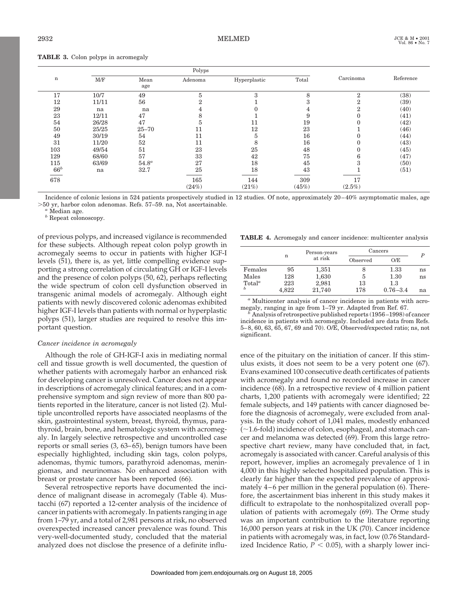| <b>TABLE 3.</b> Colon polyps in acromogaly |  |  |  |  |  |  |  |
|--------------------------------------------|--|--|--|--|--|--|--|
|--------------------------------------------|--|--|--|--|--|--|--|

|        |       |             | Polyps  |              |       |                |           |
|--------|-------|-------------|---------|--------------|-------|----------------|-----------|
| n      | M/F   | Mean<br>age | Adenoma | Hyperplastic | Total | Carcinoma      | Reference |
| 17     | 10/7  | 49          | 5       | 3            | 8     | $\overline{2}$ | (38)      |
| 12     | 11/11 | 56          | ິ       |              | З     | ົ<br>Ζ         | (39)      |
| 29     | na    | na          |         |              |       | ົ<br>╱.        | (40)      |
| 23     | 12/11 | 47          | 8       |              | 9     |                | (41)      |
| 54     | 26/28 | 47          | 5       | 11           | 19    |                | (42)      |
| 50     | 25/25 | $25 - 70$   | 11      | 12           | 23    |                | (46)      |
| 49     | 30/19 | 54          | 11      | h            | 16    |                | (44)      |
| 31     | 11/20 | 52          | 11      | 8            | 16    |                | (43)      |
| 103    | 49/54 | 51          | 23      | 25           | 48    |                | (45)      |
| 129    | 68/60 | 57          | 33      | 42           | 75    | b              | (47)      |
| 115    | 63/69 | $54.8^a$    | 27      | 18           | 45    |                | (50)      |
| $66^b$ | na    | 32.7        | 25      | 18           | 43    |                | (51)      |
| 678    |       |             | 165     | 144          | 309   | 17             |           |
|        |       |             | (24%)   | (21%)        | (45%) | $(2.5\%)$      |           |

Incidence of colonic lesions in 524 patients prospectively studied in 12 studies. Of note, approximately 20–40% asymptomatic males, age .50 yr, harbor colon adenomas. Refs. 57–59. na, Not ascertainable.

*<sup>a</sup>* Median age.

*<sup>b</sup>* Repeat colonoscopy.

of previous polyps, and increased vigilance is recommended for these subjects. Although repeat colon polyp growth in acromegaly seems to occur in patients with higher IGF-I levels (51), there is, as yet, little compelling evidence supporting a strong correlation of circulating GH or IGF-I levels and the presence of colon polyps (50, 62), perhaps reflecting the wide spectrum of colon cell dysfunction observed in transgenic animal models of acromegaly. Although eight patients with newly discovered colonic adenomas exhibited higher IGF-I levels than patients with normal or hyperplastic polyps (51), larger studies are required to resolve this important question.

## *Cancer incidence in acromegaly*

Although the role of GH-IGF-I axis in mediating normal cell and tissue growth is well documented, the question of whether patients with acromegaly harbor an enhanced risk for developing cancer is unresolved. Cancer does not appear in descriptions of acromegaly clinical features; and in a comprehensive symptom and sign review of more than 800 patients reported in the literature, cancer is not listed (2). Multiple uncontrolled reports have associated neoplasms of the skin, gastrointestinal system, breast, thyroid, thymus, parathyroid, brain, bone, and hematologic system with acromegaly. In largely selective retrospective and uncontrolled case reports or small series (3, 63–65), benign tumors have been especially highlighted, including skin tags, colon polyps, adenomas, thymic tumors, parathyroid adenomas, meningiomas, and neurinomas. No enhanced association with breast or prostate cancer has been reported (66).

Several retrospective reports have documented the incidence of malignant disease in acromegaly (Table 4). Mustacchi (67) reported a 12-center analysis of the incidence of cancer in patients with acromegaly. In patients ranging in age from 1–79 yr, and a total of 2,981 persons at risk, no observed overexpected increased cancer prevalence was found. This very-well-documented study, concluded that the material analyzed does not disclose the presence of a definite influ-

**TABLE 4.** Acromegaly and cancer incidence: multicenter analysis

|                    |       | Person-years | Cancers      | P            |    |
|--------------------|-------|--------------|--------------|--------------|----|
|                    | n     | at risk      | Observed     | O/E          |    |
| Females            | 95    | 1,351        |              | 1.33         | ns |
| Males              | 128   | 1,630        | <sub>3</sub> | 1.30         | ns |
| Total <sup>a</sup> | 223   | 2,981        | 13           | 1.3          |    |
| Ь                  | 4.822 | 21,740       | 178          | $0.76 - 3.4$ | na |

*<sup>a</sup>* Multicenter analysis of cancer incidence in patients with acro-

megaly, ranging in age from 1–79 yr. Adapted from Ref. 67. *<sup>b</sup>* Analysis of retrospective published reports (1956–1998) of cancer incidence in patients with acromegaly. Included are data from Refs. 5–8, 60, 63, 65, 67, 69 and 70). O/E, Observed/expected ratio; ns, not significant.

ence of the pituitary on the initiation of cancer. If this stimulus exists, it does not seem to be a very potent one (67). Evans examined 100 consecutive death certificates of patients with acromegaly and found no recorded increase in cancer incidence (68). In a retrospective review of 4 million patient charts, 1,200 patients with acromegaly were identified; 22 female subjects, and 149 patients with cancer diagnosed before the diagnosis of acromegaly, were excluded from analysis. In the study cohort of 1,041 males, modestly enhanced  $(\sim1.6\text{-}fold)$  incidence of colon, esophageal, and stomach cancer and melanoma was detected (69). From this large retrospective chart review, many have concluded that, in fact, acromegaly is associated with cancer. Careful analysis of this report, however, implies an acromegaly prevalence of 1 in 4,000 in this highly selected hospitalized population. This is clearly far higher than the expected prevalence of approximately 4–6 per million in the general population (6). Therefore, the ascertainment bias inherent in this study makes it difficult to extrapolate to the nonhospitalized overall population of patients with acromegaly (69). The Orme study was an important contribution to the literature reporting 16,000 person years at risk in the UK (70). Cancer incidence in patients with acromegaly was, in fact, low (0.76 Standardized Incidence Ratio,  $P < 0.05$ ), with a sharply lower inci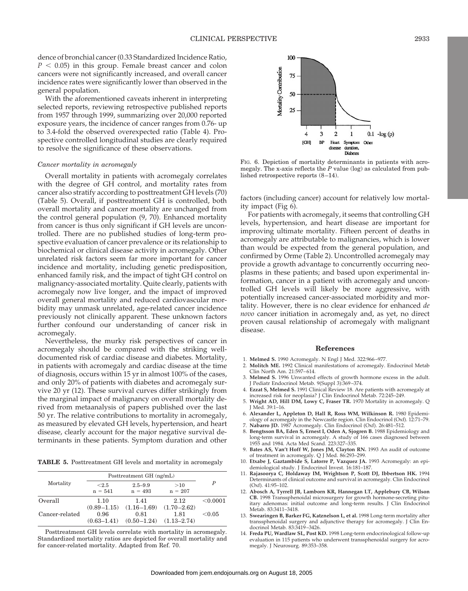dence of bronchial cancer (0.33 Standardized Incidence Ratio,  $P < 0.05$ ) in this group. Female breast cancer and colon cancers were not significantly increased, and overall cancer incidence rates were significantly lower than observed in the general population.

With the aforementioned caveats inherent in interpreting selected reports, reviewing retrospective published reports from 1957 through 1999, summarizing over 20,000 reported exposure years, the incidence of cancer ranges from 0.76- up to 3.4-fold the observed overexpected ratio (Table 4). Prospective controlled longitudinal studies are clearly required to resolve the significance of these observations.

#### *Cancer mortality in acromegaly*

Overall mortality in patients with acromegaly correlates with the degree of GH control, and mortality rates from cancer also stratify according to posttreatment GH levels (70) (Table 5). Overall, if posttreatment GH is controlled, both overall mortality and cancer mortality are unchanged from the control general population (9, 70). Enhanced mortality from cancer is thus only significant if GH levels are uncontrolled. There are no published studies of long-term prospective evaluation of cancer prevalence or its relationship to biochemical or clinical disease activity in acromegaly. Other unrelated risk factors seem far more important for cancer incidence and mortality, including genetic predisposition, enhanced family risk, and the impact of tight GH control on malignancy-associated mortality. Quite clearly, patients with acromegaly now live longer, and the impact of improved overall general mortality and reduced cardiovascular morbidity may unmask unrelated, age-related cancer incidence previously not clinically apparent. These unknown factors further confound our understanding of cancer risk in acromegaly.

Nevertheless, the murky risk perspectives of cancer in acromegaly should be compared with the striking welldocumented risk of cardiac disease and diabetes. Mortality, in patients with acromegaly and cardiac disease at the time of diagnosis, occurs within 15 yr in almost 100% of the cases, and only 20% of patients with diabetes and acromegaly survive 20 yr (12). These survival curves differ strikingly from the marginal impact of malignancy on overall mortality derived from metaanalysis of papers published over the last 50 yr. The relative contributions to mortality in acromegaly, as measured by elevated GH levels, hypertension, and heart disease, clearly account for the major negative survival determinants in these patients. Symptom duration and other

**TABLE 5.** Posttreatment GH levels and mortality in acromegaly

|                |                                            | Posttreatment GH (ng/mL)                   |                                            |                  |  |  |
|----------------|--------------------------------------------|--------------------------------------------|--------------------------------------------|------------------|--|--|
| Mortality      | < 2.5<br>$n = 541$                         | $2.5 - 9.9$<br>$n = 493$                   | >10<br>$n = 207$                           | $\boldsymbol{P}$ |  |  |
| Overall        | 1.10                                       | 1.41                                       | 2.12                                       | < 0.0001         |  |  |
| Cancer-related | $(0.89 - 1.15)$<br>0.96<br>$(0.63 - 1.41)$ | $(1.16 - 1.69)$<br>0.81<br>$(0.50 - 1.24)$ | $(1.70 - 2.62)$<br>1.81<br>$(1.13 - 2.74)$ | < 0.05           |  |  |

Posttreatment GH levels correlate with mortality in acromegaly. Standardized mortality ratios are depicted for overall mortality and for cancer-related mortality. Adapted from Ref. 70.



FIG. 6. Depiction of mortality determinants in patients with acromegaly. The x-axis reflects the *P* value (log) as calculated from published retrospective reports (8–14).

factors (including cancer) account for relatively low mortality impact (Fig 6).

For patients with acromegaly, it seems that controlling GH levels, hypertension, and heart disease are important for improving ultimate mortality. Fifteen percent of deaths in acromegaly are attributable to malignancies, which is lower than would be expected from the general population, and confirmed by Orme (Table 2). Uncontrolled acromegaly may provide a growth advantage to concurrently occurring neoplasms in these patients; and based upon experimental information, cancer in a patient with acromegaly and uncontrolled GH levels will likely be more aggressive, with potentially increased cancer-associated morbidity and mortality. However, there is no clear evidence for enhanced *de novo* cancer initiation in acromegaly and, as yet, no direct proven causal relationship of acromegaly with malignant disease.

#### **References**

- 1. **Melmed S.** 1990 Acromegaly. N Engl J Med. 322:966–977.
- 2. **Molitch ME.** 1992 Clinical manifestations of acromegaly. Endocrinol Metab Clin North Am. 21:597–614.
- 3. **Melmed S.** 1996 Unwanted effects of growth hormone excess in the adult. J Pediatr Endocrinol Metab. 9(Suppl 3):369–374. 4. **Ezzat S, Melmed S.** 1991 Clinical Review 18. Are patients with acromegaly at
- increased risk for neoplasia? J Clin Endocrinol Metab. 72:245–249.
- 5. **Wright AD, Hill DM, Lowy C, Fraser TR.** 1970 Mortality in acromegaly. Q J Med. 39:1–16.
- 6. **Alexander L, Appleton D, Hall R, Ross WM, Wilkinson R.** 1980 Epidemiology of acromegaly in the Newcastle region. Clin Endocrinol (Oxf). 12:71–79. 7. **Nabarro JD.** 1987 Acromegaly. Clin Endocrinol (Oxf). 26:481–512.
- 8. **Bengtsson BA, Eden S, Ernest I, Oden A, Sjogren B.** 1988 Epidemiology and long-term survival in acromegaly. A study of 166 cases diagnosed between 1955 and 1984. Acta Med Scand. 223:327–335.
- 9. **Bates AS, Van't Hoff W, Jones JM, Clayton RN.** 1993 An audit of outcome
- of treatment in acromegaly. Q J Med. 86:293–299. 10. **Etxabe J, Gaztambide S, Latorre P, Vazquez JA.** 1993 Acromegaly: an epidemiological study. J Endocrinol Invest. 16:181–187.
- 11. **Rajasoorya C, Holdaway IM, Wrightson P, Scott DJ, Ibbertson HK.** 1994 Determinants of clinical outcome and survival in acromegaly. Clin Endocrinol (Oxf). 41:95–102.
- 12. **Abosch A, Tyrrell JB, Lamborn KR, Hannegan LT, Applebury CB, Wilson CB.** 1998 Transsphenoidal microsurgery for growth hormone-secreting pituitary adenomas: initial outcome and long-term results. J Clin Endocrinol Metab. 83:3411–3418.
- 13. **Swearingen B, Barker FG, Katznelson L, et al.** 1998 Long-term mortality after transsphenoidal surgery and adjunctive therapy for acromegaly. J Clin Endocrinol Metab. 83:3419–3426.
- 14. **Freda PU, Wardlaw SL, Post KD.** 1998 Long-term endocrinological follow-up evaluation in 115 patients who underwent transsphenoidal surgery for acromegaly. J Neurosurg. 89:353–358.